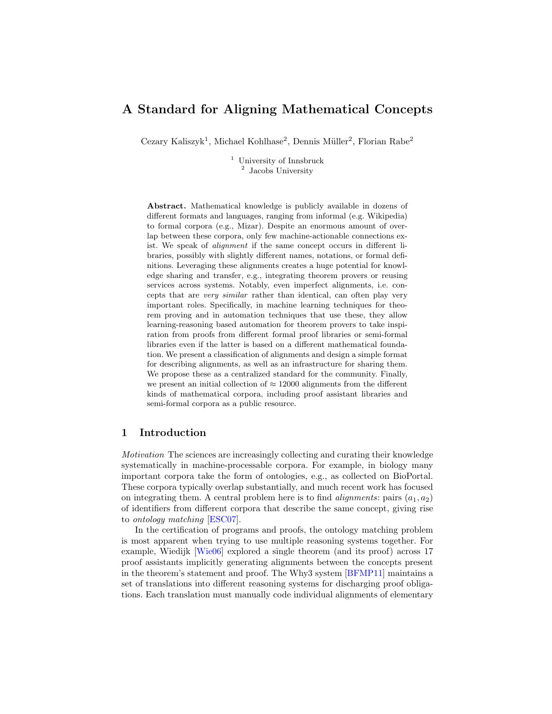# A Standard for Aligning Mathematical Concepts

Cezary Kaliszyk<sup>1</sup>, Michael Kohlhase<sup>2</sup>, Dennis Müller<sup>2</sup>, Florian Rabe<sup>2</sup>

<sup>1</sup> University of Innsbruck 2 Jacobs University

Abstract. Mathematical knowledge is publicly available in dozens of different formats and languages, ranging from informal (e.g. Wikipedia) to formal corpora (e.g., Mizar). Despite an enormous amount of overlap between these corpora, only few machine-actionable connections exist. We speak of alignment if the same concept occurs in different libraries, possibly with slightly different names, notations, or formal definitions. Leveraging these alignments creates a huge potential for knowledge sharing and transfer, e.g., integrating theorem provers or reusing services across systems. Notably, even imperfect alignments, i.e. concepts that are very similar rather than identical, can often play very important roles. Specifically, in machine learning techniques for theorem proving and in automation techniques that use these, they allow learning-reasoning based automation for theorem provers to take inspiration from proofs from different formal proof libraries or semi-formal libraries even if the latter is based on a different mathematical foundation. We present a classification of alignments and design a simple format for describing alignments, as well as an infrastructure for sharing them. We propose these as a centralized standard for the community. Finally, we present an initial collection of  $\approx 12000$  alignments from the different kinds of mathematical corpora, including proof assistant libraries and semi-formal corpora as a public resource.

### 1 Introduction

Motivation The sciences are increasingly collecting and curating their knowledge systematically in machine-processable corpora. For example, in biology many important corpora take the form of ontologies, e.g., as collected on BioPortal. These corpora typically overlap substantially, and much recent work has focused on integrating them. A central problem here is to find *alignments*: pairs  $(a_1, a_2)$ of identifiers from different corpora that describe the same concept, giving rise to ontology matching [\[ESC07\]](#page-15-0).

In the certification of programs and proofs, the ontology matching problem is most apparent when trying to use multiple reasoning systems together. For example, Wiedijk [\[Wie06\]](#page-16-0) explored a single theorem (and its proof) across 17 proof assistants implicitly generating alignments between the concepts present in the theorem's statement and proof. The Why3 system [\[BFMP11\]](#page-15-1) maintains a set of translations into different reasoning systems for discharging proof obligations. Each translation must manually code individual alignments of elementary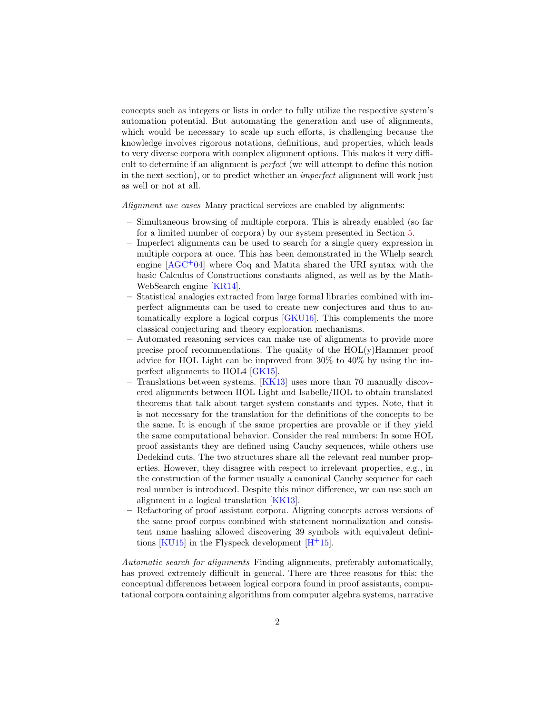concepts such as integers or lists in order to fully utilize the respective system's automation potential. But automating the generation and use of alignments, which would be necessary to scale up such efforts, is challenging because the knowledge involves rigorous notations, definitions, and properties, which leads to very diverse corpora with complex alignment options. This makes it very difficult to determine if an alignment is perfect (we will attempt to define this notion in the next section), or to predict whether an imperfect alignment will work just as well or not at all.

Alignment use cases Many practical services are enabled by alignments:

- Simultaneous browsing of multiple corpora. This is already enabled (so far for a limited number of corpora) by our system presented in Section [5.](#page-11-0)
- Imperfect alignments can be used to search for a single query expression in multiple corpora at once. This has been demonstrated in the Whelp search engine  $[AGC^+04]$  $[AGC^+04]$  where Coq and Matita shared the URI syntax with the basic Calculus of Constructions constants aligned, as well as by the Math-WebSearch engine [\[KR14\]](#page-15-2).
- Statistical analogies extracted from large formal libraries combined with imperfect alignments can be used to create new conjectures and thus to automatically explore a logical corpus [\[GKU16\]](#page-15-3). This complements the more classical conjecturing and theory exploration mechanisms.
- Automated reasoning services can make use of alignments to provide more precise proof recommendations. The quality of the  $HOL(y)$ Hammer proof advice for HOL Light can be improved from 30% to 40% by using the imperfect alignments to HOL4 [\[GK15\]](#page-15-4).
- Translations between systems. [\[KK13\]](#page-15-5) uses more than 70 manually discovered alignments between HOL Light and Isabelle/HOL to obtain translated theorems that talk about target system constants and types. Note, that it is not necessary for the translation for the definitions of the concepts to be the same. It is enough if the same properties are provable or if they yield the same computational behavior. Consider the real numbers: In some HOL proof assistants they are defined using Cauchy sequences, while others use Dedekind cuts. The two structures share all the relevant real number properties. However, they disagree with respect to irrelevant properties, e.g., in the construction of the former usually a canonical Cauchy sequence for each real number is introduced. Despite this minor difference, we can use such an alignment in a logical translation [\[KK13\]](#page-15-5).
- Refactoring of proof assistant corpora. Aligning concepts across versions of the same proof corpus combined with statement normalization and consistent name hashing allowed discovering 39 symbols with equivalent defini-tions [\[KU15\]](#page-16-1) in the Flyspeck development  $[H<sup>+</sup>15]$  $[H<sup>+</sup>15]$ .

Automatic search for alignments Finding alignments, preferably automatically, has proved extremely difficult in general. There are three reasons for this: the conceptual differences between logical corpora found in proof assistants, computational corpora containing algorithms from computer algebra systems, narrative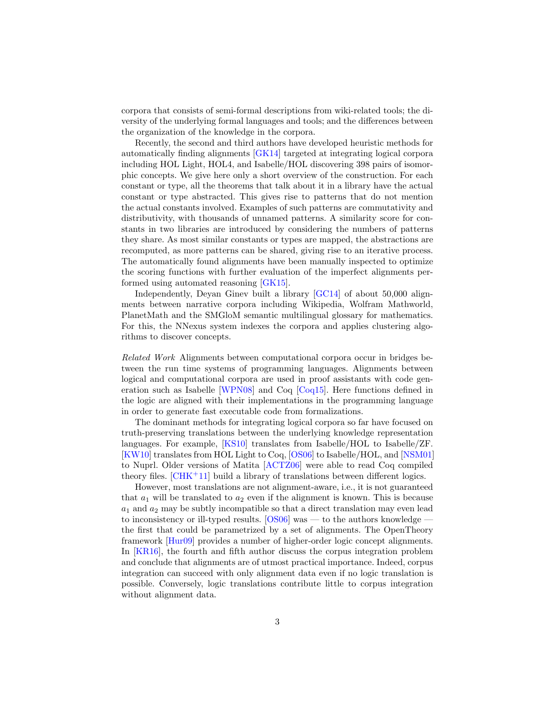corpora that consists of semi-formal descriptions from wiki-related tools; the diversity of the underlying formal languages and tools; and the differences between the organization of the knowledge in the corpora.

Recently, the second and third authors have developed heuristic methods for automatically finding alignments [\[GK14\]](#page-15-7) targeted at integrating logical corpora including HOL Light, HOL4, and Isabelle/HOL discovering 398 pairs of isomorphic concepts. We give here only a short overview of the construction. For each constant or type, all the theorems that talk about it in a library have the actual constant or type abstracted. This gives rise to patterns that do not mention the actual constants involved. Examples of such patterns are commutativity and distributivity, with thousands of unnamed patterns. A similarity score for constants in two libraries are introduced by considering the numbers of patterns they share. As most similar constants or types are mapped, the abstractions are recomputed, as more patterns can be shared, giving rise to an iterative process. The automatically found alignments have been manually inspected to optimize the scoring functions with further evaluation of the imperfect alignments performed using automated reasoning [\[GK15\]](#page-15-4).

Independently, Deyan Ginev built a library [\[GC14\]](#page-15-8) of about 50,000 alignments between narrative corpora including Wikipedia, Wolfram Mathworld, PlanetMath and the SMGloM semantic multilingual glossary for mathematics. For this, the NNexus system indexes the corpora and applies clustering algorithms to discover concepts.

Related Work Alignments between computational corpora occur in bridges between the run time systems of programming languages. Alignments between logical and computational corpora are used in proof assistants with code generation such as Isabelle [\[WPN08\]](#page-16-2) and Coq [\[Coq15\]](#page-15-9). Here functions defined in the logic are aligned with their implementations in the programming language in order to generate fast executable code from formalizations.

The dominant methods for integrating logical corpora so far have focused on truth-preserving translations between the underlying knowledge representation languages. For example, [\[KS10\]](#page-16-3) translates from Isabelle/HOL to Isabelle/ZF. [\[KW10\]](#page-16-4) translates from HOL Light to Coq, [\[OS06\]](#page-16-5) to Isabelle/HOL, and [\[NSM01\]](#page-16-6) to Nuprl. Older versions of Matita [\[ACTZ06\]](#page-14-1) were able to read Coq compiled theory files.  $[CHK<sup>+</sup>11]$  $[CHK<sup>+</sup>11]$  build a library of translations between different logics.

However, most translations are not alignment-aware, i.e., it is not guaranteed that  $a_1$  will be translated to  $a_2$  even if the alignment is known. This is because  $a_1$  and  $a_2$  may be subtly incompatible so that a direct translation may even lead to inconsistency or ill-typed results.  $[OS06]$  was — to the authors knowledge the first that could be parametrized by a set of alignments. The OpenTheory framework [\[Hur09\]](#page-15-11) provides a number of higher-order logic concept alignments. In [\[KR16\]](#page-15-12), the fourth and fifth author discuss the corpus integration problem and conclude that alignments are of utmost practical importance. Indeed, corpus integration can succeed with only alignment data even if no logic translation is possible. Conversely, logic translations contribute little to corpus integration without alignment data.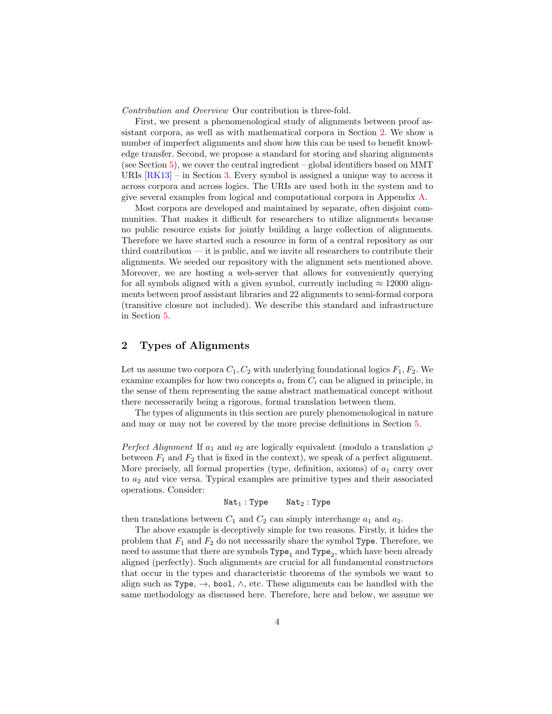Contribution and Overview Our contribution is three-fold.

First, we present a phenomenological study of alignments between proof assistant corpora, as well as with mathematical corpora in Section [2.](#page-3-0) We show a number of imperfect alignments and show how this can be used to benefit knowledge transfer. Second, we propose a standard for storing and sharing alignments (see Section  $5$ ), we cover the central ingredient – global identifiers based on MMT URIs  $[RK13]$  – in Section [3.](#page-7-0) Every symbol is assigned a unique way to access it across corpora and across logics. The URIs are used both in the system and to give several examples from logical and computational corpora in Appendix [A.](#page-10-0)

Most corpora are developed and maintained by separate, often disjoint communities. That makes it difficult for researchers to utilize alignments because no public resource exists for jointly building a large collection of alignments. Therefore we have started such a resource in form of a central repository as our third contribution — it is public, and we invite all researchers to contribute their alignments. We seeded our repository with the alignment sets mentioned above. Moreover, we are hosting a web-server that allows for conveniently querying for all symbols aligned with a given symbol, currently including  $\approx 12000$  alignments between proof assistant libraries and 22 alignments to semi-formal corpora (transitive closure not included). We describe this standard and infrastructure in Section [5.](#page-11-0)

## <span id="page-3-0"></span>2 Types of Alignments

Let us assume two corpora  $C_1, C_2$  with underlying foundational logics  $F_1, F_2$ . We examine examples for how two concepts  $a_i$  from  $C_i$  can be aligned in principle, in the sense of them representing the same abstract mathematical concept without there necesserarily being a rigorous, formal translation between them.

The types of alignments in this section are purely phenomenological in nature and may or may not be covered by the more precise definitions in Section [5.](#page-11-0)

Perfect Alignment If  $a_1$  and  $a_2$  are logically equivalent (modulo a translation  $\varphi$ between  $F_1$  and  $F_2$  that is fixed in the context), we speak of a perfect alignment. More precisely, all formal properties (type, definition, axioms) of  $a_1$  carry over to  $a_2$  and vice versa. Typical examples are primitive types and their associated operations. Consider:

 $Nat<sub>1</sub> : Type$   $Nat<sub>2</sub> : Type$ 

then translations between  $C_1$  and  $C_2$  can simply interchange  $a_1$  and  $a_2$ .

The above example is deceptively simple for two reasons. Firstly, it hides the problem that  $F_1$  and  $F_2$  do not necessarily share the symbol Type. Therefore, we need to assume that there are symbols  $\texttt{Type}_{1}$  and  $\texttt{Type}_{2}$ , which have been already aligned (perfectly). Such alignments are crucial for all fundamental constructors that occur in the types and characteristic theorems of the symbols we want to align such as Type,  $\rightarrow$ , bool,  $\wedge$ , etc. These alignments can be handled with the same methodology as discussed here. Therefore, here and below, we assume we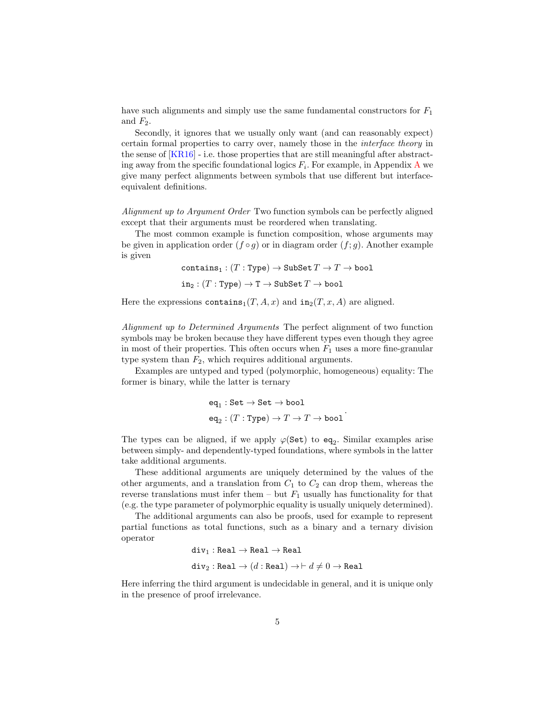have such alignments and simply use the same fundamental constructors for  $F_1$ and  $F_2$ .

Secondly, it ignores that we usually only want (and can reasonably expect) certain formal properties to carry over, namely those in the interface theory in the sense of [\[KR16\]](#page-15-12) - i.e. those properties that are still meaningful after abstracting away from the specific foundational logics  $F_i$ . For example, in [A](#page-10-0)ppendix A we give many perfect alignments between symbols that use different but interfaceequivalent definitions.

Alignment up to Argument Order Two function symbols can be perfectly aligned except that their arguments must be reordered when translating.

The most common example is function composition, whose arguments may be given in application order  $(f \circ q)$  or in diagram order  $(f: q)$ . Another example is given

```
contains<sub>1</sub> : (T : Type) \rightarrow SubSet T \rightarrow T \rightarrow boolin_2: (T : Type) \rightarrow T \rightarrow SubSet T \rightarrow bool
```
Here the expressions contains<sub>1</sub> $(T, A, x)$  and in<sub>2</sub> $(T, x, A)$  are aligned.

Alignment up to Determined Arguments The perfect alignment of two function symbols may be broken because they have different types even though they agree in most of their properties. This often occurs when  $F_1$  uses a more fine-granular type system than  $F_2$ , which requires additional arguments.

Examples are untyped and typed (polymorphic, homogeneous) equality: The former is binary, while the latter is ternary

$$
\begin{aligned} &\texttt{eq}_1:\texttt{Set}\rightarrow\texttt{Set}\rightarrow\texttt{bool} \\ &\texttt{eq}_2:(T:\texttt{Type})\rightarrow T\rightarrow T\rightarrow\texttt{bool}\end{aligned}.
$$

The types can be aligned, if we apply  $\varphi(\texttt{Set})$  to  $\texttt{eq}_2$ . Similar examples arise between simply- and dependently-typed foundations, where symbols in the latter take additional arguments.

These additional arguments are uniquely determined by the values of the other arguments, and a translation from  $C_1$  to  $C_2$  can drop them, whereas the reverse translations must infer them – but  $F_1$  usually has functionality for that (e.g. the type parameter of polymorphic equality is usually uniquely determined).

The additional arguments can also be proofs, used for example to represent partial functions as total functions, such as a binary and a ternary division operator

```
div_1 : Real \rightarrow Real \rightarrow Realdiv_2 : Real \rightarrow (d : Real) \rightarrow \vdash d \neq 0 \rightarrow Real
```
Here inferring the third argument is undecidable in general, and it is unique only in the presence of proof irrelevance.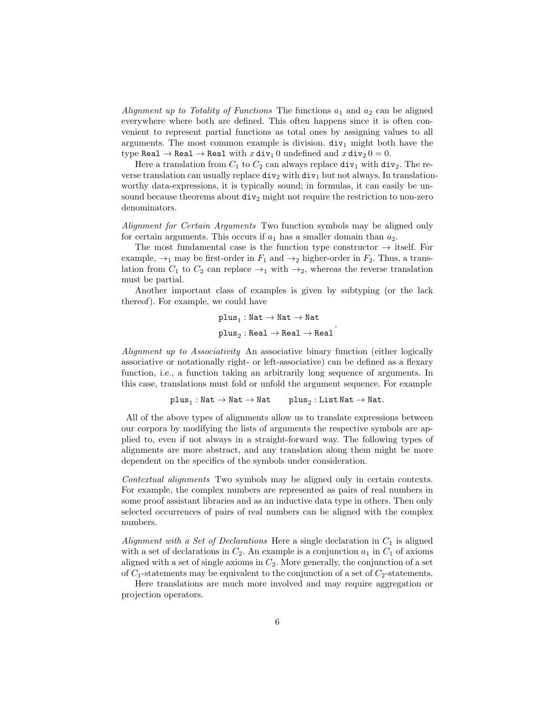Alignment up to Totality of Functions The functions  $a_1$  and  $a_2$  can be aligned everywhere where both are defined. This often happens since it is often convenient to represent partial functions as total ones by assigning values to all arguments. The most common example is division.  $div_1$  might both have the type Real  $\rightarrow$  Real  $\rightarrow$  Real with  $x \text{div}_1 0$  undefined and  $x \text{div}_2 0 = 0$ .

Here a translation from  $C_1$  to  $C_2$  can always replace  $div_1$  with  $div_2$ . The reverse translation can usually replace  $div_2$  with  $div_1$  but not always. In translationworthy data-expressions, it is typically sound; in formulas, it can easily be unsound because theorems about  $div_2$  might not require the restriction to non-zero denominators.

Alignment for Certain Arguments Two function symbols may be aligned only for certain arguments. This occurs if  $a_1$  has a smaller domain than  $a_2$ .

The most fundamental case is the function type constructor  $\rightarrow$  itself. For example,  $\rightarrow_1$  may be first-order in  $F_1$  and  $\rightarrow_2$  higher-order in  $F_2$ . Thus, a translation from  $C_1$  to  $C_2$  can replace  $\rightarrow_1$  with  $\rightarrow_2$ , whereas the reverse translation must be partial.

Another important class of examples is given by subtyping (or the lack thereof). For example, we could have

> $\texttt{plus}_{1}: \texttt{Nat} \rightarrow \texttt{Nat} \rightarrow \texttt{Nat}$  ${\tt plus}_2 : {\tt Real} \to {\tt Real} \to {\tt Real}$ .

Alignment up to Associativity An associative binary function (either logically associative or notationally right- or left-associative) can be defined as a flexary function, i.e., a function taking an arbitrarily long sequence of arguments. In this case, translations must fold or unfold the argument sequence. For example

$$
\mathtt{plus}_{1}: \mathtt{Nat} \to \mathtt{Nat} \to \mathtt{Nat} \qquad \mathtt{plus}_{2}: \mathtt{List}\, \mathtt{Nat} \to \mathtt{Nat}.
$$

All of the above types of alignments allow us to translate expressions between our corpora by modifying the lists of arguments the respective symbols are applied to, even if not always in a straight-forward way. The following types of alignments are more abstract, and any translation along them might be more dependent on the specifics of the symbols under consideration.

Contextual alignments Two symbols may be aligned only in certain contexts. For example, the complex numbers are represented as pairs of real numbers in some proof assistant libraries and as an inductive data type in others. Then only selected occurrences of pairs of real numbers can be aligned with the complex numbers.

Alignment with a Set of Declarations Here a single declaration in  $C_1$  is aligned with a set of declarations in  $C_2$ . An example is a conjunction  $a_1$  in  $C_1$  of axioms aligned with a set of single axioms in  $C_2$ . More generally, the conjunction of a set of  $C_1$ -statements may be equivalent to the conjunction of a set of  $C_2$ -statements.

Here translations are much more involved and may require aggregation or projection operators.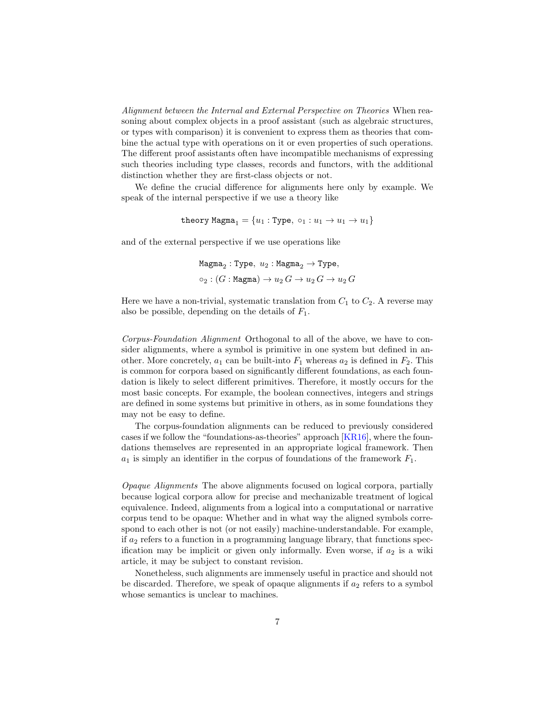Alignment between the Internal and External Perspective on Theories When reasoning about complex objects in a proof assistant (such as algebraic structures, or types with comparison) it is convenient to express them as theories that combine the actual type with operations on it or even properties of such operations. The different proof assistants often have incompatible mechanisms of expressing such theories including type classes, records and functors, with the additional distinction whether they are first-class objects or not.

We define the crucial difference for alignments here only by example. We speak of the internal perspective if we use a theory like

$$
\texttt{theory Magna}_1 = \{u_1: \texttt{Type}, \ \texttt{o}_1: u_1 \rightarrow u_1 \rightarrow u_1\}
$$

and of the external perspective if we use operations like

$$
\begin{aligned} &\texttt{Magma}_2: \texttt{Type}, \; u_2: \texttt{Magma}_2 \rightarrow \texttt{Type}, \\ &\texttt{\texttt{o}}_2: (G: \texttt{Magma}) \rightarrow u_2 \, G \rightarrow u_2 \, G \rightarrow u_2 \, G \end{aligned}
$$

Here we have a non-trivial, systematic translation from  $C_1$  to  $C_2$ . A reverse may also be possible, depending on the details of  $F_1$ .

Corpus-Foundation Alignment Orthogonal to all of the above, we have to consider alignments, where a symbol is primitive in one system but defined in another. More concretely,  $a_1$  can be built-into  $F_1$  whereas  $a_2$  is defined in  $F_2$ . This is common for corpora based on significantly different foundations, as each foundation is likely to select different primitives. Therefore, it mostly occurs for the most basic concepts. For example, the boolean connectives, integers and strings are defined in some systems but primitive in others, as in some foundations they may not be easy to define.

The corpus-foundation alignments can be reduced to previously considered cases if we follow the "foundations-as-theories" approach [\[KR16\]](#page-15-12), where the foundations themselves are represented in an appropriate logical framework. Then  $a_1$  is simply an identifier in the corpus of foundations of the framework  $F_1$ .

Opaque Alignments The above alignments focused on logical corpora, partially because logical corpora allow for precise and mechanizable treatment of logical equivalence. Indeed, alignments from a logical into a computational or narrative corpus tend to be opaque: Whether and in what way the aligned symbols correspond to each other is not (or not easily) machine-understandable. For example, if  $a_2$  refers to a function in a programming language library, that functions specification may be implicit or given only informally. Even worse, if  $a_2$  is a wiki article, it may be subject to constant revision.

Nonetheless, such alignments are immensely useful in practice and should not be discarded. Therefore, we speak of opaque alignments if  $a_2$  refers to a symbol whose semantics is unclear to machines.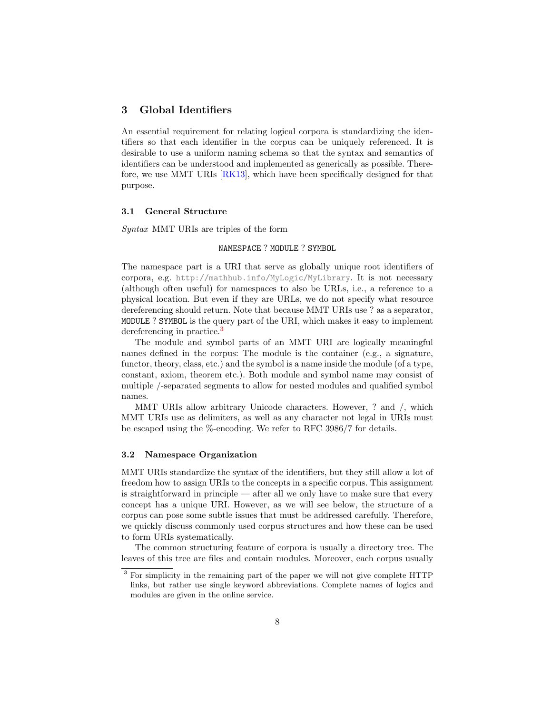## <span id="page-7-0"></span>3 Global Identifiers

An essential requirement for relating logical corpora is standardizing the identifiers so that each identifier in the corpus can be uniquely referenced. It is desirable to use a uniform naming schema so that the syntax and semantics of identifiers can be understood and implemented as generically as possible. Therefore, we use MMT URIs [\[RK13\]](#page-16-7), which have been specifically designed for that purpose.

#### 3.1 General Structure

Syntax MMT URIs are triples of the form

### NAMESPACE ? MODULE ? SYMBOL

The namespace part is a URI that serve as globally unique root identifiers of corpora, e.g. <http://mathhub.info/MyLogic/MyLibrary>. It is not necessary (although often useful) for namespaces to also be URLs, i.e., a reference to a physical location. But even if they are URLs, we do not specify what resource dereferencing should return. Note that because MMT URIs use ? as a separator, MODULE ? SYMBOL is the query part of the URI, which makes it easy to implement dereferencing in practice.<sup>[3](#page-7-1)</sup>

The module and symbol parts of an MMT URI are logically meaningful names defined in the corpus: The module is the container (e.g., a signature, functor, theory, class, etc.) and the symbol is a name inside the module (of a type, constant, axiom, theorem etc.). Both module and symbol name may consist of multiple /-separated segments to allow for nested modules and qualified symbol names.

MMT URIs allow arbitrary Unicode characters. However, ? and /, which MMT URIs use as delimiters, as well as any character not legal in URIs must be escaped using the %-encoding. We refer to RFC 3986/7 for details.

#### 3.2 Namespace Organization

MMT URIs standardize the syntax of the identifiers, but they still allow a lot of freedom how to assign URIs to the concepts in a specific corpus. This assignment is straightforward in principle — after all we only have to make sure that every concept has a unique URI. However, as we will see below, the structure of a corpus can pose some subtle issues that must be addressed carefully. Therefore, we quickly discuss commonly used corpus structures and how these can be used to form URIs systematically.

The common structuring feature of corpora is usually a directory tree. The leaves of this tree are files and contain modules. Moreover, each corpus usually

<span id="page-7-1"></span><sup>&</sup>lt;sup>3</sup> For simplicity in the remaining part of the paper we will not give complete HTTP links, but rather use single keyword abbreviations. Complete names of logics and modules are given in the online service.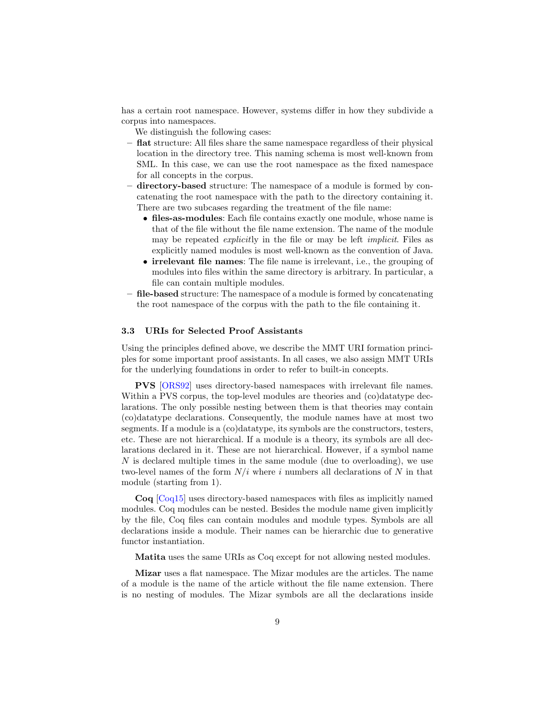has a certain root namespace. However, systems differ in how they subdivide a corpus into namespaces.

We distinguish the following cases:

- flat structure: All files share the same namespace regardless of their physical location in the directory tree. This naming schema is most well-known from SML. In this case, we can use the root namespace as the fixed namespace for all concepts in the corpus.
- directory-based structure: The namespace of a module is formed by concatenating the root namespace with the path to the directory containing it. There are two subcases regarding the treatment of the file name:
	- files-as-modules: Each file contains exactly one module, whose name is that of the file without the file name extension. The name of the module may be repeated explicitly in the file or may be left implicit. Files as explicitly named modules is most well-known as the convention of Java.
	- irrelevant file names: The file name is irrelevant, i.e., the grouping of modules into files within the same directory is arbitrary. In particular, a file can contain multiple modules.
- file-based structure: The namespace of a module is formed by concatenating the root namespace of the corpus with the path to the file containing it.

#### 3.3 URIs for Selected Proof Assistants

Using the principles defined above, we describe the MMT URI formation principles for some important proof assistants. In all cases, we also assign MMT URIs for the underlying foundations in order to refer to built-in concepts.

PVS [\[ORS92\]](#page-16-8) uses directory-based namespaces with irrelevant file names. Within a PVS corpus, the top-level modules are theories and (co)datatype declarations. The only possible nesting between them is that theories may contain (co)datatype declarations. Consequently, the module names have at most two segments. If a module is a (co)datatype, its symbols are the constructors, testers, etc. These are not hierarchical. If a module is a theory, its symbols are all declarations declared in it. These are not hierarchical. However, if a symbol name  $N$  is declared multiple times in the same module (due to overloading), we use two-level names of the form  $N/i$  where i numbers all declarations of N in that module (starting from 1).

Coq [\[Coq15\]](#page-15-9) uses directory-based namespaces with files as implicitly named modules. Coq modules can be nested. Besides the module name given implicitly by the file, Coq files can contain modules and module types. Symbols are all declarations inside a module. Their names can be hierarchic due to generative functor instantiation.

Matita uses the same URIs as Coq except for not allowing nested modules.

Mizar uses a flat namespace. The Mizar modules are the articles. The name of a module is the name of the article without the file name extension. There is no nesting of modules. The Mizar symbols are all the declarations inside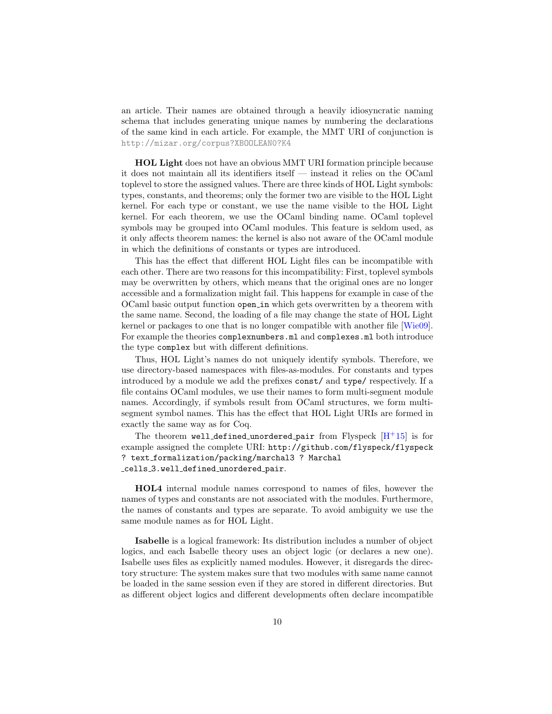an article. Their names are obtained through a heavily idiosyncratic naming schema that includes generating unique names by numbering the declarations of the same kind in each article. For example, the MMT URI of conjunction is <http://mizar.org/corpus?XBOOLEAN0?K4>

HOL Light does not have an obvious MMT URI formation principle because it does not maintain all its identifiers itself — instead it relies on the OCaml toplevel to store the assigned values. There are three kinds of HOL Light symbols: types, constants, and theorems; only the former two are visible to the HOL Light kernel. For each type or constant, we use the name visible to the HOL Light kernel. For each theorem, we use the OCaml binding name. OCaml toplevel symbols may be grouped into OCaml modules. This feature is seldom used, as it only affects theorem names: the kernel is also not aware of the OCaml module in which the definitions of constants or types are introduced.

This has the effect that different HOL Light files can be incompatible with each other. There are two reasons for this incompatibility: First, toplevel symbols may be overwritten by others, which means that the original ones are no longer accessible and a formalization might fail. This happens for example in case of the OCaml basic output function open in which gets overwritten by a theorem with the same name. Second, the loading of a file may change the state of HOL Light kernel or packages to one that is no longer compatible with another file [\[Wie09\]](#page-16-9). For example the theories complexnumbers.ml and complexes.ml both introduce the type complex but with different definitions.

Thus, HOL Light's names do not uniquely identify symbols. Therefore, we use directory-based namespaces with files-as-modules. For constants and types introduced by a module we add the prefixes const/ and type/ respectively. If a file contains OCaml modules, we use their names to form multi-segment module names. Accordingly, if symbols result from OCaml structures, we form multisegment symbol names. This has the effect that HOL Light URIs are formed in exactly the same way as for Coq.

The theorem well defined unordered pair from Flyspeck  $[H^+15]$  $[H^+15]$  is for example assigned the complete URI: http://github.com/flyspeck/flyspeck ? text formalization/packing/marchal3 ? Marchal cells 3.well defined unordered pair.

HOL4 internal module names correspond to names of files, however the names of types and constants are not associated with the modules. Furthermore, the names of constants and types are separate. To avoid ambiguity we use the same module names as for HOL Light.

Isabelle is a logical framework: Its distribution includes a number of object logics, and each Isabelle theory uses an object logic (or declares a new one). Isabelle uses files as explicitly named modules. However, it disregards the directory structure: The system makes sure that two modules with same name cannot be loaded in the same session even if they are stored in different directories. But as different object logics and different developments often declare incompatible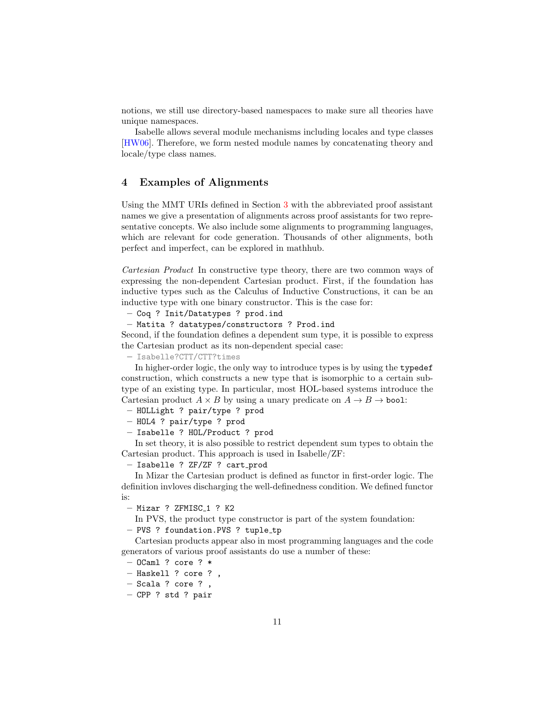notions, we still use directory-based namespaces to make sure all theories have unique namespaces.

Isabelle allows several module mechanisms including locales and type classes [\[HW06\]](#page-15-13). Therefore, we form nested module names by concatenating theory and locale/type class names.

### <span id="page-10-0"></span>4 Examples of Alignments

Using the MMT URIs defined in Section [3](#page-7-0) with the abbreviated proof assistant names we give a presentation of alignments across proof assistants for two representative concepts. We also include some alignments to programming languages, which are relevant for code generation. Thousands of other alignments, both perfect and imperfect, can be explored in mathhub.

Cartesian Product In constructive type theory, there are two common ways of expressing the non-dependent Cartesian product. First, if the foundation has inductive types such as the Calculus of Inductive Constructions, it can be an inductive type with one binary constructor. This is the case for:

– Coq ? Init/Datatypes ? prod.ind

– Matita ? datatypes/constructors ? Prod.ind

Second, if the foundation defines a dependent sum type, it is possible to express the Cartesian product as its non-dependent special case:

– [Isabelle?CTT/CTT?times](Isabelle ? CTT/CTT ? times)

In higher-order logic, the only way to introduce types is by using the typedef construction, which constructs a new type that is isomorphic to a certain subtype of an existing type. In particular, most HOL-based systems introduce the Cartesian product  $A \times B$  by using a unary predicate on  $A \to B \to$  bool:

– HOLLight ? pair/type ? prod

- HOL4 ? pair/type ? prod
- Isabelle ? HOL/Product ? prod

In set theory, it is also possible to restrict dependent sum types to obtain the Cartesian product. This approach is used in Isabelle/ZF:

– Isabelle ? ZF/ZF ? cart prod

In Mizar the Cartesian product is defined as functor in first-order logic. The definition invloves discharging the well-definedness condition. We defined functor is:

 $-$  Mizar ? ZFMISC<sub>-1</sub> ? K2

In PVS, the product type constructor is part of the system foundation:

– PVS ? foundation.PVS ? tuple tp

Cartesian products appear also in most programming languages and the code generators of various proof assistants do use a number of these:

- OCaml ? core ? \*
- Haskell ? core ? ,
- Scala ? core ? ,
- CPP ? std ? pair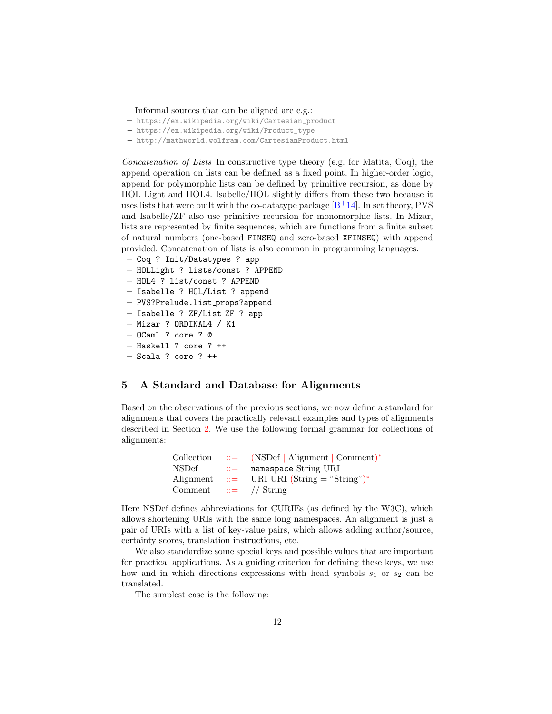Informal sources that can be aligned are e.g.:

- [https://en.wikipedia.org/wiki/Cartesian\\_product](https://en.wikipedia.org/wiki/Cartesian_product)
- [https://en.wikipedia.org/wiki/Product\\_type](https://en.wikipedia.org/wiki/Product_type)
- <http://mathworld.wolfram.com/CartesianProduct.html>

Concatenation of Lists In constructive type theory (e.g. for Matita, Coq), the append operation on lists can be defined as a fixed point. In higher-order logic, append for polymorphic lists can be defined by primitive recursion, as done by HOL Light and HOL4. Isabelle/HOL slightly differs from these two because it uses lists that were built with the co-datatype package  $[B+14]$  $[B+14]$ . In set theory, PVS and Isabelle/ZF also use primitive recursion for monomorphic lists. In Mizar, lists are represented by finite sequences, which are functions from a finite subset of natural numbers (one-based FINSEQ and zero-based XFINSEQ) with append provided. Concatenation of lists is also common in programming languages.

- Coq ? Init/Datatypes ? app
- HOLLight ? lists/const ? APPEND
- HOL4 ? list/const ? APPEND
- Isabelle ? HOL/List ? append
- PVS?Prelude.list props?append
- Isabelle ? ZF/List ZF ? app
- Mizar ? ORDINAL4 / K1
- OCaml ? core ? @
- Haskell ? core ? ++
- $-$  Scala ? core ?  $+$

## <span id="page-11-0"></span>5 A Standard and Database for Alignments

Based on the observations of the previous sections, we now define a standard for alignments that covers the practically relevant examples and types of alignments described in Section [2.](#page-3-0) We use the following formal grammar for collections of alignments:

| Collection |                | $ ::=$ (NSDef   Alignment   Comment)*     |
|------------|----------------|-------------------------------------------|
| NSDef      | $\therefore =$ | namespace String URI                      |
| Alignment  |                | $\therefore$ URI URI (String = "String")* |
| Comment    |                | $\equiv$ // String                        |

Here NSDef defines abbreviations for CURIEs (as defined by the W3C), which allows shortening URIs with the same long namespaces. An alignment is just a pair of URIs with a list of key-value pairs, which allows adding author/source, certainty scores, translation instructions, etc.

We also standardize some special keys and possible values that are important for practical applications. As a guiding criterion for defining these keys, we use how and in which directions expressions with head symbols  $s_1$  or  $s_2$  can be translated.

The simplest case is the following: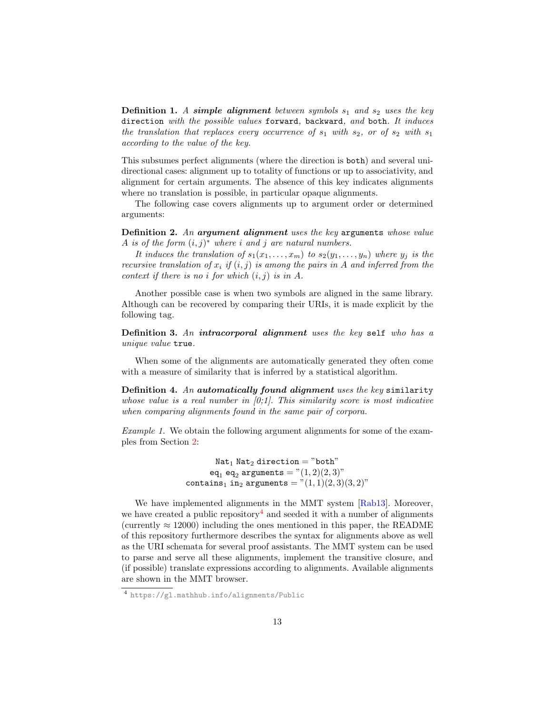**Definition 1.** A simple alignment between symbols  $s_1$  and  $s_2$  uses the key direction with the possible values forward, backward, and both. It induces the translation that replaces every occurrence of  $s_1$  with  $s_2$ , or of  $s_2$  with  $s_1$ according to the value of the key.

This subsumes perfect alignments (where the direction is both) and several unidirectional cases: alignment up to totality of functions or up to associativity, and alignment for certain arguments. The absence of this key indicates alignments where no translation is possible, in particular opaque alignments.

The following case covers alignments up to argument order or determined arguments:

Definition 2. An argument alignment uses the key arguments whose value A is of the form  $(i, j)^*$  where i and j are natural numbers.

It induces the translation of  $s_1(x_1, \ldots, x_m)$  to  $s_2(y_1, \ldots, y_n)$  where  $y_j$  is the recursive translation of  $x_i$  if  $(i, j)$  is among the pairs in A and inferred from the context if there is no i for which  $(i, j)$  is in A.

Another possible case is when two symbols are aligned in the same library. Although can be recovered by comparing their URIs, it is made explicit by the following tag.

**Definition 3.** An intracorporal alignment uses the key self who has a unique value true.

When some of the alignments are automatically generated they often come with a measure of similarity that is inferred by a statistical algorithm.

Definition 4. An automatically found alignment uses the key similarity whose value is a real number in  $[0,1]$ . This similarity score is most indicative when comparing alignments found in the same pair of corpora.

Example 1. We obtain the following argument alignments for some of the examples from Section [2:](#page-3-0)

> $Nat<sub>1</sub> Nat<sub>2</sub> direction = "both"$ eq<sub>1</sub> eq<sub>2</sub> arguments =  $"(1,2)(2,3)"$ contains<sub>1</sub> in<sub>2</sub> arguments =  $"(1, 1)(2, 3)(3, 2)"$

We have implemented alignments in the MMT system [\[Rab13\]](#page-16-10). Moreover, we have created a public repository<sup>[4](#page-12-0)</sup> and seeded it with a number of alignments (currently  $\approx 12000$ ) including the ones mentioned in this paper, the README of this repository furthermore describes the syntax for alignments above as well as the URI schemata for several proof assistants. The MMT system can be used to parse and serve all these alignments, implement the transitive closure, and (if possible) translate expressions according to alignments. Available alignments are shown in the MMT browser.

<span id="page-12-0"></span><sup>4</sup> <https://gl.mathhub.info/alignments/Public>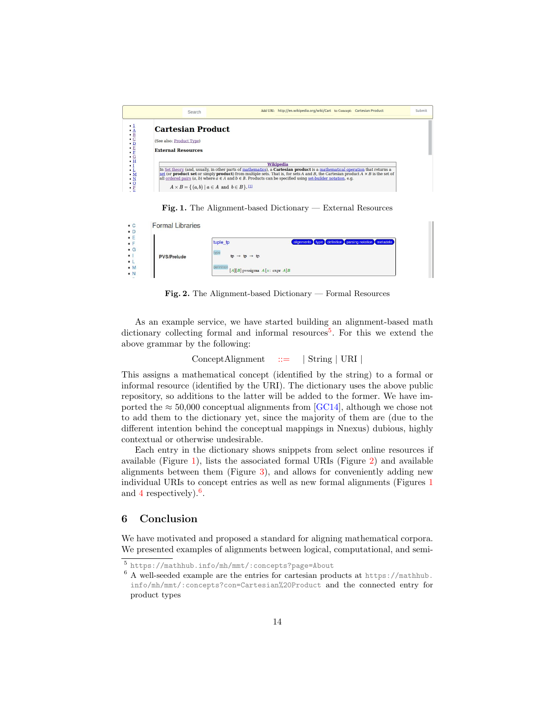

<span id="page-13-1"></span>Fig. 1. The Alignment-based Dictionary — External Resources

| <b>Formal Libraries</b> |                                                                  |
|-------------------------|------------------------------------------------------------------|
|                         | alignments type definition parsing notation metadata<br>tuple_tp |
| <b>PVS/Prelude</b>      | type<br>$tp \rightarrow tp \rightarrow tp$                       |
|                         | definition<br>$[A][B]$ pyssigma $A[x: \text{expr } A]B$          |

<span id="page-13-2"></span>Fig. 2. The Alignment-based Dictionary — Formal Resources

As an example service, we have started building an alignment-based math dictionary collecting formal and informal resources<sup>[5](#page-13-0)</sup>. For this we extend the above grammar by the following:

$$
ConceptAlignment := | String | URI |
$$

This assigns a mathematical concept (identified by the string) to a formal or informal resource (identified by the URI). The dictionary uses the above public repository, so additions to the latter will be added to the former. We have imported the  $\approx 50,000$  conceptual alignments from [\[GC14\]](#page-15-8), although we chose not to add them to the dictionary yet, since the majority of them are (due to the different intention behind the conceptual mappings in Nnexus) dubious, highly contextual or otherwise undesirable.

Each entry in the dictionary shows snippets from select online resources if available (Figure [1\)](#page-13-1), lists the associated formal URIs (Figure [2\)](#page-13-2) and available alignments between them (Figure [3\)](#page-14-2), and allows for conveniently adding new individual URIs to concept entries as well as new formal alignments (Figures [1](#page-13-1) and [4](#page-14-3) respectively).<sup>[6](#page-13-3)</sup>.

### 6 Conclusion

We have motivated and proposed a standard for aligning mathematical corpora. We presented examples of alignments between logical, computational, and semi-

<span id="page-13-0"></span><sup>5</sup> <https://mathhub.info/mh/mmt/:concepts?page=About>

<span id="page-13-3"></span> $6$  A well-seeded example are the entries for cartesian products at [https://mathhub.](https://mathhub.info/mh/mmt/:concepts?con=Cartesian%20Product) [info/mh/mmt/:concepts?con=Cartesian%20Product](https://mathhub.info/mh/mmt/:concepts?con=Cartesian%20Product) and the connected entry for product types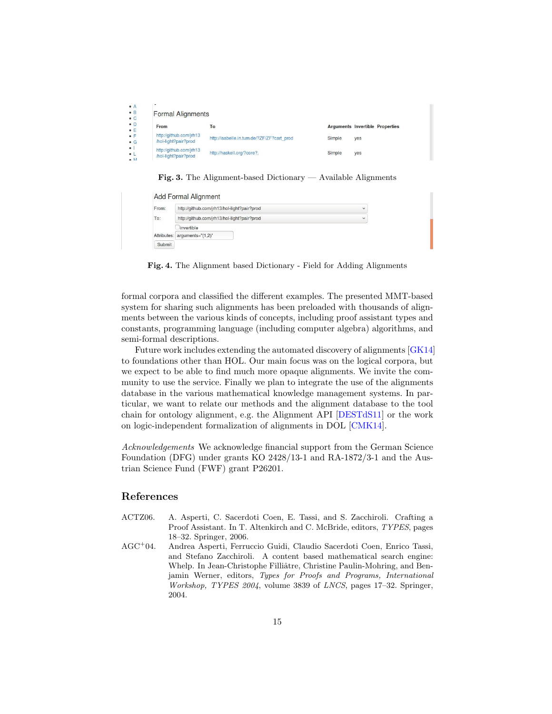|                               | ٠.                                              |                                            |        |                                        |
|-------------------------------|-------------------------------------------------|--------------------------------------------|--------|----------------------------------------|
| $\cdot$ B<br>$\cdot$ C        | <b>Formal Alignments</b>                        |                                            |        |                                        |
| $\bullet$ D                   | From                                            | To                                         |        | <b>Arguments Invertible Properties</b> |
| $\frac{1}{1}$<br>$\bullet$ G  | http://github.com/jrh13<br>/hol-light?pair?prod | http://isabelle.in.tum.de/?ZF/ZF?cart_prod | Simple | yes                                    |
| $\bullet$<br>$\bullet$ L<br>A | http://github.com/irh13<br>/hol-light?pair?prod | http://haskell.org/?core?.                 | Simple | yes                                    |

<span id="page-14-2"></span>Fig. 3. The Alignment-based Dictionary — Available Alignments

|       | Add Formal Alignment                        |  |
|-------|---------------------------------------------|--|
| From: | http://github.com/jrh13/hol-light?pair?prod |  |
|       | http://github.com/jrh13/hol-light?pair?prod |  |

| To:    | http://github.com/jrh13/hol-light?pair?prod | $\checkmark$ |
|--------|---------------------------------------------|--------------|
|        | invertible                                  |              |
|        | Attributes: arguments="(1,2)"               |              |
| Submit |                                             |              |

<span id="page-14-3"></span>Fig. 4. The Alignment based Dictionary - Field for Adding Alignments

formal corpora and classified the different examples. The presented MMT-based system for sharing such alignments has been preloaded with thousands of alignments between the various kinds of concepts, including proof assistant types and constants, programming language (including computer algebra) algorithms, and semi-formal descriptions.

Future work includes extending the automated discovery of alignments [\[GK14\]](#page-15-7) to foundations other than HOL. Our main focus was on the logical corpora, but we expect to be able to find much more opaque alignments. We invite the community to use the service. Finally we plan to integrate the use of the alignments database in the various mathematical knowledge management systems. In particular, we want to relate our methods and the alignment database to the tool chain for ontology alignment, e.g. the Alignment API [\[DESTdS11\]](#page-15-15) or the work on logic-independent formalization of alignments in DOL [\[CMK14\]](#page-15-16).

Acknowledgements We acknowledge financial support from the German Science Foundation (DFG) under grants KO 2428/13-1 and RA-1872/3-1 and the Austrian Science Fund (FWF) grant P26201.

### References

- <span id="page-14-1"></span>ACTZ06. A. Asperti, C. Sacerdoti Coen, E. Tassi, and S. Zacchiroli. Crafting a Proof Assistant. In T. Altenkirch and C. McBride, editors, TYPES, pages 18–32. Springer, 2006.
- <span id="page-14-0"></span>AGC<sup>+</sup>04. Andrea Asperti, Ferruccio Guidi, Claudio Sacerdoti Coen, Enrico Tassi, and Stefano Zacchiroli. A content based mathematical search engine: Whelp. In Jean-Christophe Filliâtre, Christine Paulin-Mohring, and Benjamin Werner, editors, Types for Proofs and Programs, International Workshop, TYPES 2004, volume 3839 of LNCS, pages 17–32. Springer, 2004.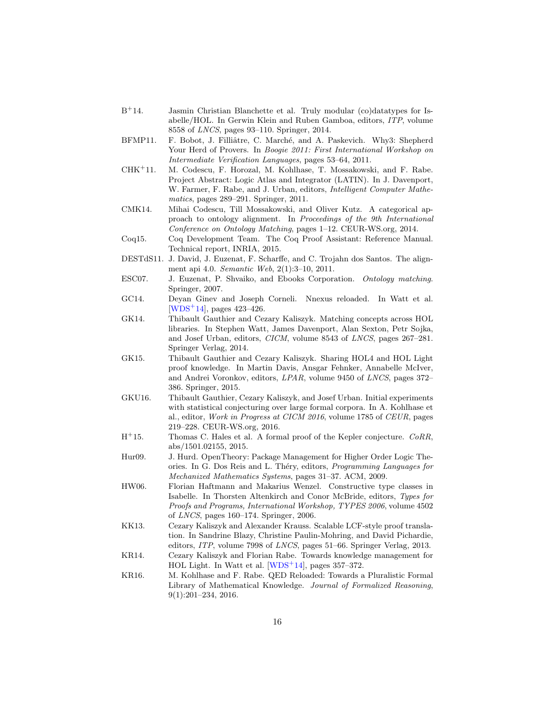- <span id="page-15-14"></span> $B+14.$ Jasmin Christian Blanchette et al. Truly modular (co)datatypes for Isabelle/HOL. In Gerwin Klein and Ruben Gamboa, editors, ITP, volume 8558 of LNCS, pages 93–110. Springer, 2014.
- <span id="page-15-1"></span>BFMP11. F. Bobot, J. Filliâtre, C. Marché, and A. Paskevich. Why3: Shepherd Your Herd of Provers. In Boogie 2011: First International Workshop on Intermediate Verification Languages, pages 53–64, 2011.
- <span id="page-15-10"></span>CHK<sup>+</sup>11. M. Codescu, F. Horozal, M. Kohlhase, T. Mossakowski, and F. Rabe. Project Abstract: Logic Atlas and Integrator (LATIN). In J. Davenport, W. Farmer, F. Rabe, and J. Urban, editors, *Intelligent Computer Mathe*matics, pages 289–291. Springer, 2011.
- <span id="page-15-16"></span>CMK14. Mihai Codescu, Till Mossakowski, and Oliver Kutz. A categorical approach to ontology alignment. In Proceedings of the 9th International Conference on Ontology Matching, pages 1–12. CEUR-WS.org, 2014.
- <span id="page-15-9"></span>Coq15. Coq Development Team. The Coq Proof Assistant: Reference Manual. Technical report, INRIA, 2015.
- <span id="page-15-15"></span>DESTdS11. J. David, J. Euzenat, F. Scharffe, and C. Trojahn dos Santos. The alignment api 4.0. Semantic Web, 2(1):3–10, 2011.
- <span id="page-15-0"></span>ESC07. J. Euzenat, P. Shvaiko, and Ebooks Corporation. Ontology matching. Springer, 2007.
- <span id="page-15-8"></span>GC14. Deyan Ginev and Joseph Corneli. Nnexus reloaded. In Watt et al. [\[WDS](#page-16-11)<sup>+</sup>14], pages 423–426.
- <span id="page-15-7"></span>GK14. Thibault Gauthier and Cezary Kaliszyk. Matching concepts across HOL libraries. In Stephen Watt, James Davenport, Alan Sexton, Petr Sojka, and Josef Urban, editors, CICM, volume 8543 of LNCS, pages 267–281. Springer Verlag, 2014.
- <span id="page-15-4"></span>GK15. Thibault Gauthier and Cezary Kaliszyk. Sharing HOL4 and HOL Light proof knowledge. In Martin Davis, Ansgar Fehnker, Annabelle McIver, and Andrei Voronkov, editors, LPAR, volume 9450 of LNCS, pages 372– 386. Springer, 2015.
- <span id="page-15-3"></span>GKU16. Thibault Gauthier, Cezary Kaliszyk, and Josef Urban. Initial experiments with statistical conjecturing over large formal corpora. In A. Kohlhase et al., editor, Work in Progress at CICM 2016, volume 1785 of CEUR, pages 219–228. CEUR-WS.org, 2016.
- <span id="page-15-6"></span> $H^+15.$ Thomas C. Hales et al. A formal proof of the Kepler conjecture. CoRR, abs/1501.02155, 2015.
- <span id="page-15-11"></span>Hur09. J. Hurd. OpenTheory: Package Management for Higher Order Logic Theories. In G. Dos Reis and L. Théry, editors, *Programming Languages for* Mechanized Mathematics Systems, pages 31–37. ACM, 2009.
- <span id="page-15-13"></span>HW06. Florian Haftmann and Makarius Wenzel. Constructive type classes in Isabelle. In Thorsten Altenkirch and Conor McBride, editors, Types for Proofs and Programs, International Workshop, TYPES 2006, volume 4502 of LNCS, pages 160–174. Springer, 2006.
- <span id="page-15-5"></span>KK13. Cezary Kaliszyk and Alexander Krauss. Scalable LCF-style proof translation. In Sandrine Blazy, Christine Paulin-Mohring, and David Pichardie, editors, ITP, volume 7998 of LNCS, pages 51–66. Springer Verlag, 2013.
- <span id="page-15-2"></span>KR14. Cezary Kaliszyk and Florian Rabe. Towards knowledge management for HOL Light. In Watt et al.  $[WDS^+14]$  $[WDS^+14]$ , pages 357-372.
- <span id="page-15-12"></span>KR16. M. Kohlhase and F. Rabe. QED Reloaded: Towards a Pluralistic Formal Library of Mathematical Knowledge. Journal of Formalized Reasoning, 9(1):201–234, 2016.